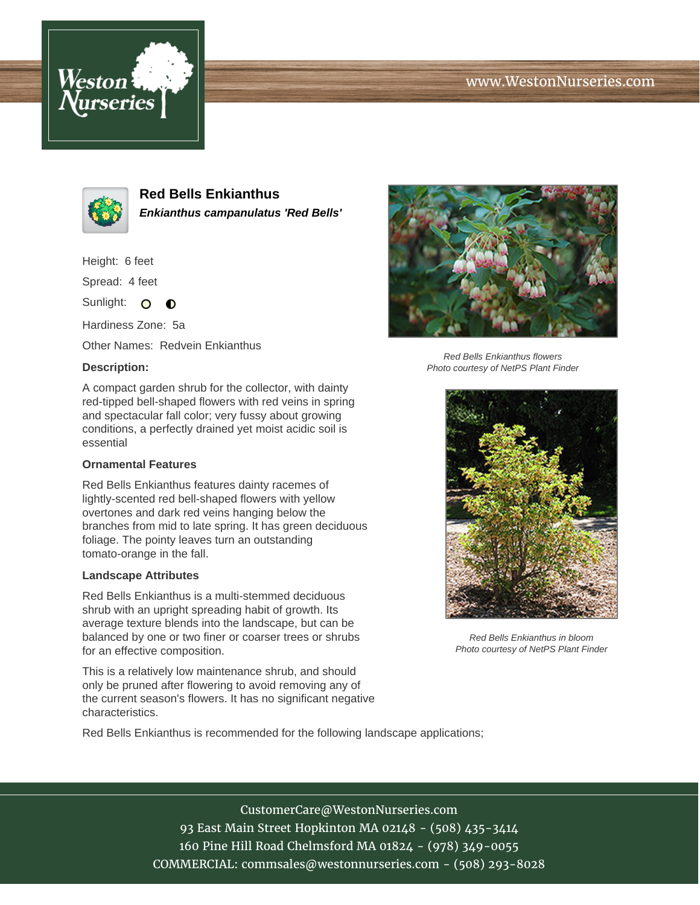## www.WestonNurseries.com





**Red Bells Enkianthus Enkianthus campanulatus 'Red Bells'**

Height: 6 feet

Spread: 4 feet

Sunlight: O **O** 

Hardiness Zone: 5a

Other Names: Redvein Enkianthus

### **Description:**

A compact garden shrub for the collector, with dainty red-tipped bell-shaped flowers with red veins in spring and spectacular fall color; very fussy about growing conditions, a perfectly drained yet moist acidic soil is essential

## **Ornamental Features**

Red Bells Enkianthus features dainty racemes of lightly-scented red bell-shaped flowers with yellow overtones and dark red veins hanging below the branches from mid to late spring. It has green deciduous foliage. The pointy leaves turn an outstanding tomato-orange in the fall.

#### **Landscape Attributes**

Red Bells Enkianthus is a multi-stemmed deciduous shrub with an upright spreading habit of growth. Its average texture blends into the landscape, but can be balanced by one or two finer or coarser trees or shrubs for an effective composition.

This is a relatively low maintenance shrub, and should only be pruned after flowering to avoid removing any of the current season's flowers. It has no significant negative characteristics.

Red Bells Enkianthus is recommended for the following landscape applications;



Red Bells Enkianthus flowers Photo courtesy of NetPS Plant Finder



Red Bells Enkianthus in bloom Photo courtesy of NetPS Plant Finder

CustomerCare@WestonNurseries.com 93 East Main Street Hopkinton MA 02148 - (508) 435-3414 160 Pine Hill Road Chelmsford MA 01824 - (978) 349-0055 COMMERCIAL: commsales@westonnurseries.com - (508) 293-8028